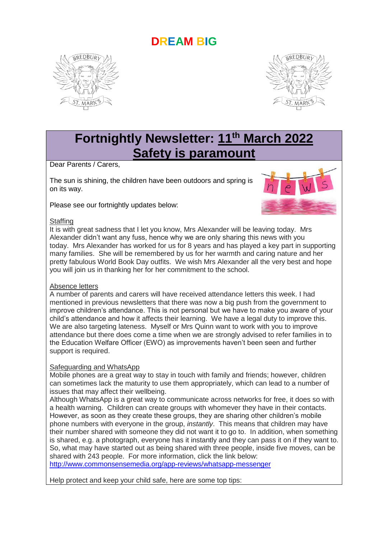# **DREAM BIG**





# **Fortnightly Newsletter: 11th March 2022 Safety is paramount**

Dear Parents / Carers,

The sun is shining, the children have been outdoors and spring is on its way.

Please see our fortnightly updates below:



#### **Staffing**

It is with great sadness that I let you know, Mrs Alexander will be leaving today. Mrs Alexander didn't want any fuss, hence why we are only sharing this news with you today. Mrs Alexander has worked for us for 8 years and has played a key part in supporting many families. She will be remembered by us for her warmth and caring nature and her pretty fabulous World Book Day outfits. We wish Mrs Alexander all the very best and hope you will join us in thanking her for her commitment to the school.

#### Absence letters

A number of parents and carers will have received attendance letters this week. I had mentioned in previous newsletters that there was now a big push from the government to improve children's attendance. This is not personal but we have to make you aware of your child's attendance and how it affects their learning. We have a legal duty to improve this. We are also targeting lateness. Myself or Mrs Quinn want to work with you to improve attendance but there does come a time when we are strongly advised to refer families in to the Education Welfare Officer (EWO) as improvements haven't been seen and further support is required.

#### Safeguarding and WhatsApp

Mobile phones are a great way to stay in touch with family and friends; however, children can sometimes lack the maturity to use them appropriately, which can lead to a number of issues that may affect their wellbeing.

Although WhatsApp is a great way to communicate across networks for free, it does so with a health warning. Children can create groups with whomever they have in their contacts. However, as soon as they create these groups, they are sharing other children's mobile phone numbers with everyone in the group, *instantly*. This means that children may have their number shared with someone they did not want it to go to. In addition, when something is shared, e.g. a photograph, everyone has it instantly and they can pass it on if they want to. So, what may have started out as being shared with three people, inside five moves, can be shared with 243 people. For more information, click the link below:

<http://www.commonsensemedia.org/app-reviews/whatsapp-messenger>

Help protect and keep your child safe, here are some top tips: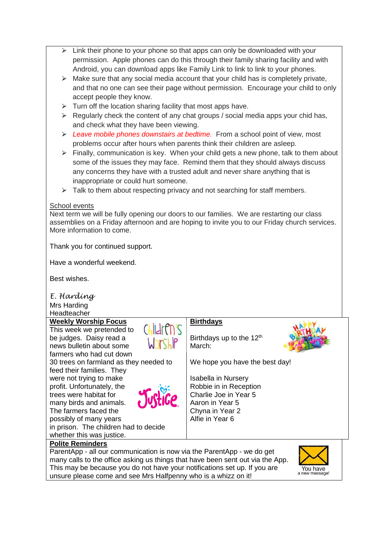- $\triangleright$  Link their phone to your phone so that apps can only be downloaded with your permission. Apple phones can do this through their family sharing facility and with Android, you can download apps like Family Link to link to link to your phones.
- $\triangleright$  Make sure that any social media account that your child has is completely private, and that no one can see their page without permission. Encourage your child to only accept people they know.
- $\triangleright$  Turn off the location sharing facility that most apps have.
- $\triangleright$  Regularly check the content of any chat groups / social media apps your chid has, and check what they have been viewing.
- ⮚ *Leave mobile phones downstairs at bedtime.* From a school point of view, most problems occur after hours when parents think their children are asleep.
- $\triangleright$  Finally, communication is key. When your child gets a new phone, talk to them about some of the issues they may face. Remind them that they should always discuss any concerns they have with a trusted adult and never share anything that is inappropriate or could hurt someone.
- $\triangleright$  Talk to them about respecting privacy and not searching for staff members.

# School events

Next term we will be fully opening our doors to our families. We are restarting our class assemblies on a Friday afternoon and are hoping to invite you to our Friday church services. More information to come.

Thank you for continued support.

Have a wonderful weekend.

Best wishes.

*E. Harding* Mrs Harding

**Headteacher** 

#### **Weekly Worship Focus**

This week we pretended to be judges. Daisy read a news bulletin about some farmers who had cut down 30 trees on farmland as they needed to feed their families. They were not trying to make profit. Unfortunately, the trees were habitat for many birds and animals. The farmers faced the possibly of many years



# **Birthdays**

Birthdays up to the  $12<sup>th</sup>$ March:



We hope you have the best day!

Isabella in Nursery Robbie in in Reception Charlie Joe in Year 5 Aaron in Year 5 Chyna in Year 2 Alfie in Year 6

in prison. The children had to decide whether this was justice.

### **Polite Reminders**

ParentApp - all our communication is now via the ParentApp - we do get many calls to the office asking us things that have been sent out via the App. This may be because you do not have your notifications set up. If you are unsure please come and see Mrs Halfpenny who is a whizz on it!